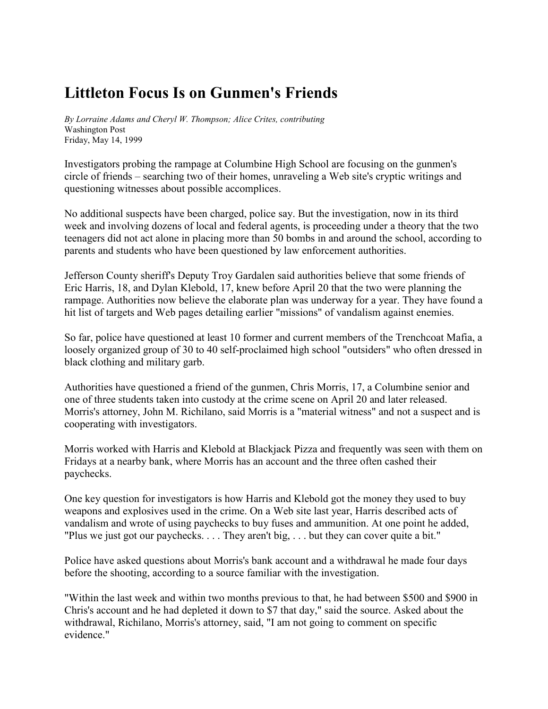## **Littleton Focus Is on Gunmen's Friends**

*By Lorraine Adams and Cheryl W. Thompson; Alice Crites, contributing* Washington Post Friday, May 14, 1999

Investigators probing the rampage at Columbine High School are focusing on the gunmen's circle of friends – searching two of their homes, unraveling a Web site's cryptic writings and questioning witnesses about possible accomplices.

No additional suspects have been charged, police say. But the investigation, now in its third week and involving dozens of local and federal agents, is proceeding under a theory that the two teenagers did not act alone in placing more than 50 bombs in and around the school, according to parents and students who have been questioned by law enforcement authorities.

Jefferson County sheriff's Deputy Troy Gardalen said authorities believe that some friends of Eric Harris, 18, and Dylan Klebold, 17, knew before April 20 that the two were planning the rampage. Authorities now believe the elaborate plan was underway for a year. They have found a hit list of targets and Web pages detailing earlier "missions" of vandalism against enemies.

So far, police have questioned at least 10 former and current members of the Trenchcoat Mafia, a loosely organized group of 30 to 40 self-proclaimed high school "outsiders" who often dressed in black clothing and military garb.

Authorities have questioned a friend of the gunmen, Chris Morris, 17, a Columbine senior and one of three students taken into custody at the crime scene on April 20 and later released. Morris's attorney, John M. Richilano, said Morris is a "material witness" and not a suspect and is cooperating with investigators.

Morris worked with Harris and Klebold at Blackjack Pizza and frequently was seen with them on Fridays at a nearby bank, where Morris has an account and the three often cashed their paychecks.

One key question for investigators is how Harris and Klebold got the money they used to buy weapons and explosives used in the crime. On a Web site last year, Harris described acts of vandalism and wrote of using paychecks to buy fuses and ammunition. At one point he added, "Plus we just got our paychecks. . . . They aren't big, . . . but they can cover quite a bit."

Police have asked questions about Morris's bank account and a withdrawal he made four days before the shooting, according to a source familiar with the investigation.

"Within the last week and within two months previous to that, he had between \$500 and \$900 in Chris's account and he had depleted it down to \$7 that day," said the source. Asked about the withdrawal, Richilano, Morris's attorney, said, "I am not going to comment on specific evidence."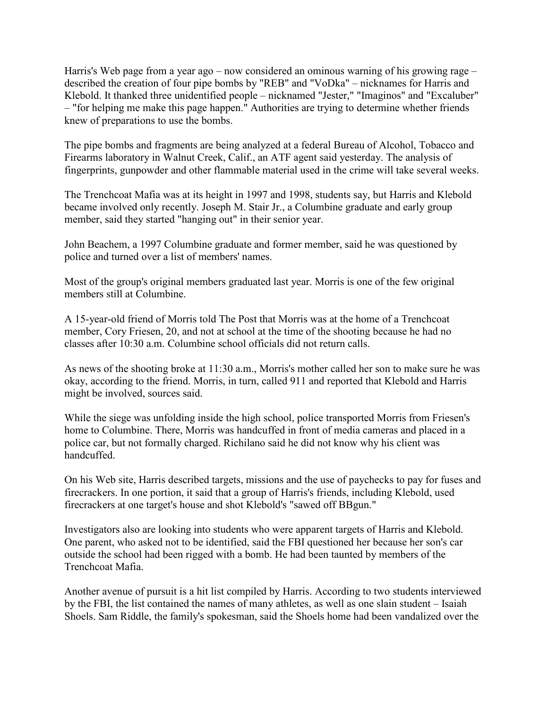Harris's Web page from a year ago – now considered an ominous warning of his growing rage – described the creation of four pipe bombs by "REB" and "VoDka" – nicknames for Harris and Klebold. It thanked three unidentified people – nicknamed "Jester," "Imaginos" and "Excaluber" – "for helping me make this page happen." Authorities are trying to determine whether friends knew of preparations to use the bombs.

The pipe bombs and fragments are being analyzed at a federal Bureau of Alcohol, Tobacco and Firearms laboratory in Walnut Creek, Calif., an ATF agent said yesterday. The analysis of fingerprints, gunpowder and other flammable material used in the crime will take several weeks.

The Trenchcoat Mafia was at its height in 1997 and 1998, students say, but Harris and Klebold became involved only recently. Joseph M. Stair Jr., a Columbine graduate and early group member, said they started "hanging out" in their senior year.

John Beachem, a 1997 Columbine graduate and former member, said he was questioned by police and turned over a list of members' names.

Most of the group's original members graduated last year. Morris is one of the few original members still at Columbine.

A 15-year-old friend of Morris told The Post that Morris was at the home of a Trenchcoat member, Cory Friesen, 20, and not at school at the time of the shooting because he had no classes after 10:30 a.m. Columbine school officials did not return calls.

As news of the shooting broke at 11:30 a.m., Morris's mother called her son to make sure he was okay, according to the friend. Morris, in turn, called 911 and reported that Klebold and Harris might be involved, sources said.

While the siege was unfolding inside the high school, police transported Morris from Friesen's home to Columbine. There, Morris was handcuffed in front of media cameras and placed in a police car, but not formally charged. Richilano said he did not know why his client was handcuffed.

On his Web site, Harris described targets, missions and the use of paychecks to pay for fuses and firecrackers. In one portion, it said that a group of Harris's friends, including Klebold, used firecrackers at one target's house and shot Klebold's "sawed off BBgun."

Investigators also are looking into students who were apparent targets of Harris and Klebold. One parent, who asked not to be identified, said the FBI questioned her because her son's car outside the school had been rigged with a bomb. He had been taunted by members of the Trenchcoat Mafia.

Another avenue of pursuit is a hit list compiled by Harris. According to two students interviewed by the FBI, the list contained the names of many athletes, as well as one slain student – Isaiah Shoels. Sam Riddle, the family's spokesman, said the Shoels home had been vandalized over the